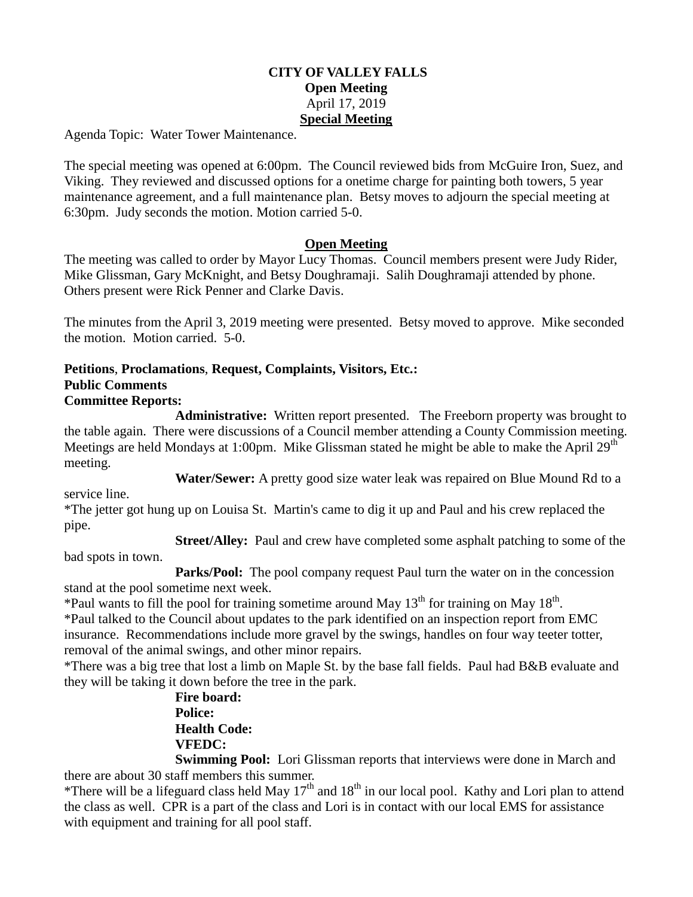#### **CITY OF VALLEY FALLS Open Meeting** April 17, 2019 **Special Meeting**

Agenda Topic: Water Tower Maintenance.

The special meeting was opened at 6:00pm. The Council reviewed bids from McGuire Iron, Suez, and Viking. They reviewed and discussed options for a onetime charge for painting both towers, 5 year maintenance agreement, and a full maintenance plan. Betsy moves to adjourn the special meeting at 6:30pm. Judy seconds the motion. Motion carried 5-0.

#### **Open Meeting**

The meeting was called to order by Mayor Lucy Thomas. Council members present were Judy Rider, Mike Glissman, Gary McKnight, and Betsy Doughramaji. Salih Doughramaji attended by phone. Others present were Rick Penner and Clarke Davis.

The minutes from the April 3, 2019 meeting were presented. Betsy moved to approve. Mike seconded the motion. Motion carried. 5-0.

#### **Petitions**, **Proclamations**, **Request, Complaints, Visitors, Etc.: Public Comments Committee Reports:**

**Administrative:** Written report presented. The Freeborn property was brought to the table again. There were discussions of a Council member attending a County Commission meeting. Meetings are held Mondays at 1:00pm. Mike Glissman stated he might be able to make the April 29<sup>th</sup> meeting.

**Water/Sewer:** A pretty good size water leak was repaired on Blue Mound Rd to a

service line.

\*The jetter got hung up on Louisa St. Martin's came to dig it up and Paul and his crew replaced the pipe.

**Street/Alley:** Paul and crew have completed some asphalt patching to some of the

bad spots in town.

**Parks/Pool:** The pool company request Paul turn the water on in the concession stand at the pool sometime next week.

\*Paul wants to fill the pool for training sometime around May  $13<sup>th</sup>$  for training on May  $18<sup>th</sup>$ . \*Paul talked to the Council about updates to the park identified on an inspection report from EMC insurance. Recommendations include more gravel by the swings, handles on four way teeter totter, removal of the animal swings, and other minor repairs.

\*There was a big tree that lost a limb on Maple St. by the base fall fields. Paul had B&B evaluate and they will be taking it down before the tree in the park.

> **Fire board: Police: Health Code: VFEDC:**

**Swimming Pool:** Lori Glissman reports that interviews were done in March and there are about 30 staff members this summer.

\*There will be a lifeguard class held May  $17<sup>th</sup>$  and  $18<sup>th</sup>$  in our local pool. Kathy and Lori plan to attend the class as well. CPR is a part of the class and Lori is in contact with our local EMS for assistance with equipment and training for all pool staff.